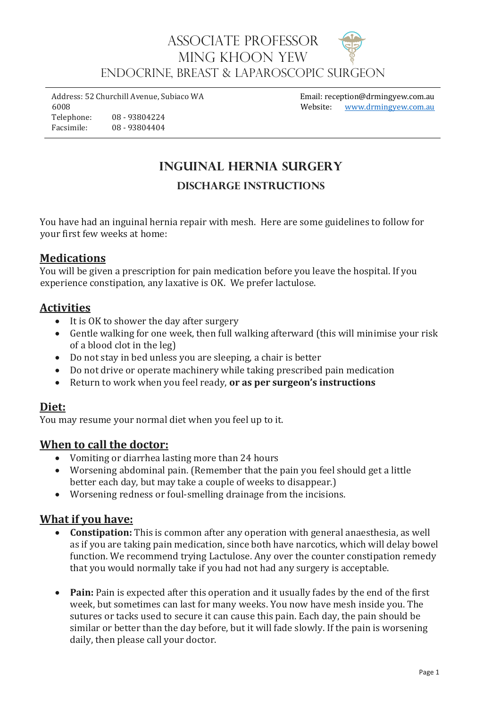## Associate Professor MING KHOON YEW ENDOCRINE, BREAST & LAPAROSCOPIC Surgeon

Address: 52 Churchill Avenue, Subiaco WA 6008 Telephone: 08 - 93804224 Facsimile: 08 - 93804404

Email: reception@drmingyew.com.au Website: [www.drmingyew.com.au](http://www.drmingyew.com.au/)

# **Inguinal Hernia Surgery**

## **Discharge Instructions**

You have had an inguinal hernia repair with mesh. Here are some guidelines to follow for your first few weeks at home:

#### **Medications**

You will be given a prescription for pain medication before you leave the hospital. If you experience constipation, any laxative is OK. We prefer lactulose.

#### **Activities**

- It is OK to shower the day after surgery
- Gentle walking for one week, then full walking afterward (this will minimise your risk of a blood clot in the leg)
- Do not stay in bed unless you are sleeping, a chair is better
- Do not drive or operate machinery while taking prescribed pain medication
- Return to work when you feel ready, **or as per surgeon's instructions**

#### **Diet:**

You may resume your normal diet when you feel up to it.

### **When to call the doctor:**

- Vomiting or diarrhea lasting more than 24 hours
- Worsening abdominal pain. (Remember that the pain you feel should get a little better each day, but may take a couple of weeks to disappear.)
- Worsening redness or foul-smelling drainage from the incisions.

#### **What if you have:**

- **Constipation:** This is common after any operation with general anaesthesia, as well as if you are taking pain medication, since both have narcotics, which will delay bowel function. We recommend trying Lactulose. Any over the counter constipation remedy that you would normally take if you had not had any surgery is acceptable.
- **Pain:** Pain is expected after this operation and it usually fades by the end of the first week, but sometimes can last for many weeks. You now have mesh inside you. The sutures or tacks used to secure it can cause this pain. Each day, the pain should be similar or better than the day before, but it will fade slowly. If the pain is worsening daily, then please call your doctor.